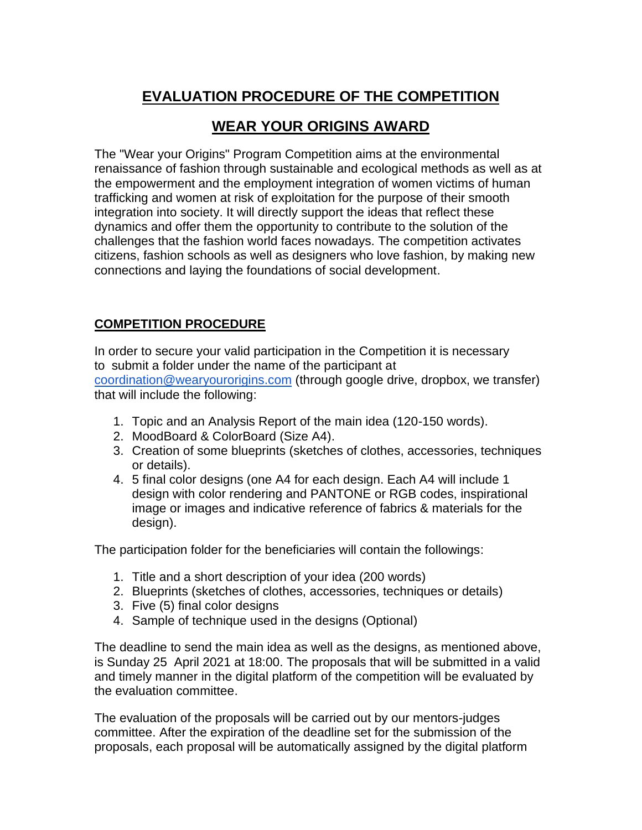# **EVALUATION PROCEDURE OF THE COMPETITION**

## **WEAR YOUR ORIGINS AWARD**

The "Wear your Origins" Program Competition aims at the environmental renaissance of fashion through sustainable and ecological methods as well as at the empowerment and the employment integration of women victims of human trafficking and women at risk of exploitation for the purpose of their smooth integration into society. It will directly support the ideas that reflect these dynamics and offer them the opportunity to contribute to the solution of the challenges that the fashion world faces nowadays. The competition activates citizens, fashion schools as well as designers who love fashion, by making new connections and laying the foundations of social development.

## **COMPETITION PROCEDURE**

In order to secure your valid participation in the Competition it is necessary to submit a folder under the name of the participant a[t](http://soffa.gr/) [coordination@wearyourorigins.com](mailto:coordination@wearyourorigins.com) (through google drive, dropbox, we transfer) that will include the following:

- 1. Topic and an Analysis Report of the main idea (120-150 words).
- 2. MoodBoard & ColorBoard (Size A4).
- 3. Creation of some blueprints (sketches of clothes, accessories, techniques or details).
- 4. 5 final color designs (one A4 for each design. Each A4 will include 1 design with color rendering and PANTONE or RGB codes, inspirational image or images and indicative reference of fabrics & materials for the design).

The participation folder for the beneficiaries will contain the followings:

- 1. Title and a short description of your idea (200 words)
- 2. Blueprints (sketches of clothes, accessories, techniques or details)
- 3. Five (5) final color designs
- 4. Sample of technique used in the designs (Optional)

The deadline to send the main idea as well as the designs, as mentioned above, is Sunday 25 April 2021 at 18:00. The proposals that will be submitted in a valid and timely manner in the digital platform of the competition will be evaluated by the evaluation committee.

The evaluation of the proposals will be carried out by our mentors-judges committee. After the expiration of the deadline set for the submission of the proposals, each proposal will be automatically assigned by the digital platform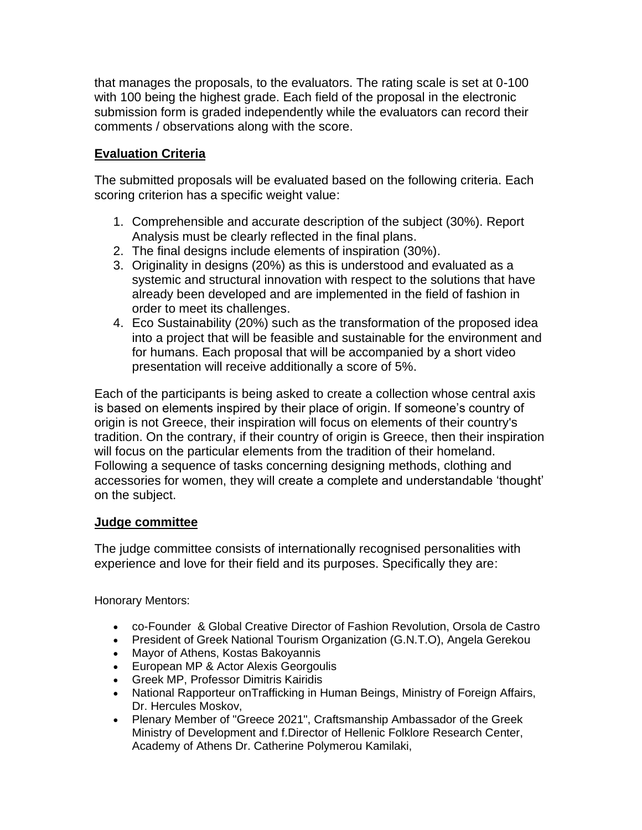that manages the proposals, to the evaluators. The rating scale is set at 0-100 with 100 being the highest grade. Each field of the proposal in the electronic submission form is graded independently while the evaluators can record their comments / observations along with the score.

## **Evaluation Criteria**

The submitted proposals will be evaluated based on the following criteria. Each scoring criterion has a specific weight value:

- 1. Comprehensible and accurate description of the subject (30%). Report Analysis must be clearly reflected in the final plans.
- 2. The final designs include elements of inspiration (30%).
- 3. Originality in designs (20%) as this is understood and evaluated as a systemic and structural innovation with respect to the solutions that have already been developed and are implemented in the field of fashion in order to meet its challenges.
- 4. Eco Sustainability (20%) such as the transformation of the proposed idea into a project that will be feasible and sustainable for the environment and for humans. Each proposal that will be accompanied by a short video presentation will receive additionally a score of 5%.

Each of the participants is being asked to create a collection whose central axis is based on elements inspired by their place of origin. If someone's country of origin is not Greece, their inspiration will focus on elements of their country's tradition. On the contrary, if their country of origin is Greece, then their inspiration will focus on the particular elements from the tradition of their homeland. Following a sequence of tasks concerning designing methods, clothing and accessories for women, they will create a complete and understandable 'thought' on the subject.

#### **Judge committee**

The judge committee consists of internationally recognised personalities with experience and love for their field and its purposes. Specifically they are:

Honorary Mentors:

- co-Founder & Global Creative Director of Fashion Revolution, Orsola de Castro
- President of Greek National Tourism Organization (G.N.T.O), Angela Gerekou
- Mayor of Athens, Kostas Bakoyannis
- European MP & Actor Alexis Georgoulis
- Greek MP, Professor Dimitris Kairidis
- National Rapporteur onTrafficking in Human Beings, Ministry of Foreign Affairs, Dr. Hercules Moskov,
- Plenary Member of "Greece 2021", Craftsmanship Ambassador of the Greek Ministry of Development and f.Director of Hellenic Folklore Research Center, Academy of Athens Dr. Catherine Polymerou Kamilaki,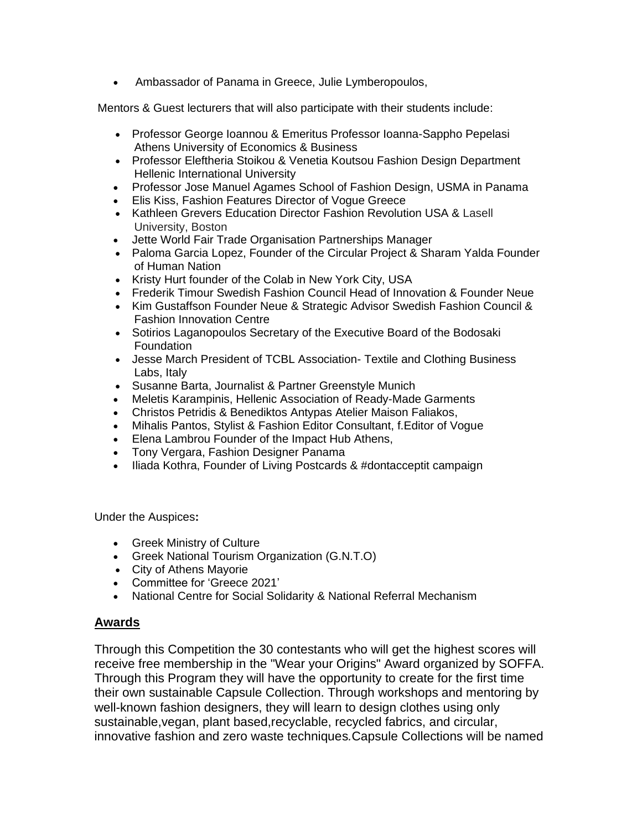• Ambassador of Panama in Greece, Julie Lymberopoulos,

Mentors & Guest lecturers that will also participate with their students include:

- Professor George Ioannou & Emeritus Professor Ioanna-Sappho Pepelasi Athens University of Economics & Business
- Professor Eleftheria Stoikou & Venetia Koutsou Fashion Design Department Hellenic International University
- Professor Jose Manuel Agames School of Fashion Design, USMA in Panama
- Elis Kiss, Fashion Features Director of Vogue Greece
- Kathleen Grevers Education Director Fashion Revolution USA & Lasell University, Boston
- Jette World Fair Trade Organisation Partnerships Manager
- Paloma Garcia Lopez, Founder of the Circular Project & Sharam Yalda Founder of Human Nation
- Kristy Hurt founder of the Colab in New York City, USA
- Frederik Timour Swedish Fashion Council Head of Innovation & Founder Neue
- Kim Gustaffson Founder Neue & Strategic Advisor Swedish Fashion Council & Fashion Innovation Centre
- Sotirios Laganopoulos Secretary of the Executive Board of the Bodosaki **Foundation**
- Jesse March President of TCBL Association- Textile and Clothing Business Labs, Italy
- Susanne Barta, Journalist & Partner Greenstyle Munich
- Meletis Karampinis, Hellenic Association of Ready-Made Garments
- Christos Petridis & Benediktos Antypas Atelier Maison Faliakos,
- Mihalis Pantos, Stylist & Fashion Editor Consultant, f.Editor of Vogue
- Elena Lambrou Founder of the Impact Hub Athens,
- Tony Vergara, Fashion Designer Panama
- Iliada Kothra, Founder of Living Postcards & #dontacceptit campaign

Under the Auspices**:**

- Greek Ministry of Culture
- Greek National Tourism Organization (G.N.T.O)
- City of Athens Mayorie
- Committee for 'Greece 2021'
- National Centre for Social Solidarity & National Referral Mechanism

#### **Awards**

Through this Competition the 30 contestants who will get the highest scores will receive free membership in the "Wear your Origins" Award organized by SOFFA. Through this Program they will have the opportunity to create for the first time their own sustainable Capsule Collection. Through workshops and mentoring by well-known fashion designers, they will learn to design clothes using only sustainable,vegan, plant based,recyclable, recycled fabrics, and circular, innovative fashion and zero waste techniques*.*Capsule Collections will be named